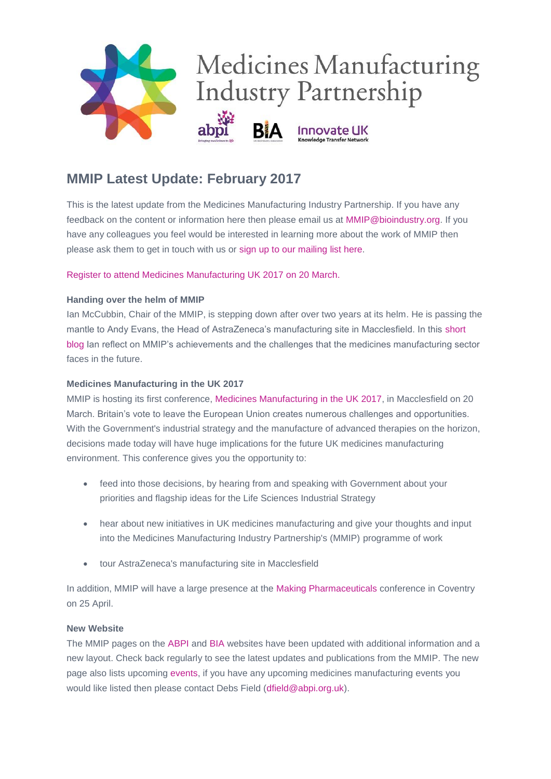

# **MMIP Latest Update: February 2017**

This is the latest update from the Medicines Manufacturing Industry Partnership. If you have any feedback on the content or information here then please email us at [MMIP@bioindustry.org.](mailto:MMIP@bioindustry.org) If you have any colleagues you feel would be interested in learning more about the work of MMIP then please ask them to get in touch with us or [sign up to our mailing list](mailto:MMIP@bioindustry.org?subject=Subscribe%20to%20mailing%20list) here.

[Register to attend Medicines Manufacturing UK 2017 on 20 March.](https://protect-eu.mimecast.com/s/6vQfBg3DqSN?domain=dmtrk.net)

# **Handing over the helm of MMIP**

Ian McCubbin, Chair of the MMIP, is stepping down after over two years at its helm. He is passing the mantle to Andy Evans, the Head of AstraZeneca's manufacturing site in Macclesfield. In this [short](https://protect-eu.mimecast.com/s/Nk6IB2WDOuz?domain=dmtrk.net)  [blog](https://protect-eu.mimecast.com/s/Nk6IB2WDOuz?domain=dmtrk.net) Ian reflect on MMIP's achievements and the challenges that the medicines manufacturing sector faces in the future.

## **Medicines Manufacturing in the UK 2017**

MMIP is hosting its first conference, [Medicines Manufacturing in the UK 2017,](https://protect-eu.mimecast.com/s/6vQfBg3DqSN?domain=dmtrk.net) in Macclesfield on 20 March. Britain's vote to leave the European Union creates numerous challenges and opportunities. With the Government's industrial strategy and the manufacture of advanced therapies on the horizon, decisions made today will have huge implications for the future UK medicines manufacturing environment. This conference gives you the opportunity to:

- feed into those decisions, by hearing from and speaking with Government about your priorities and flagship ideas for the Life Sciences Industrial Strategy
- hear about new initiatives in UK medicines manufacturing and give your thoughts and input into the Medicines Manufacturing Industry Partnership's (MMIP) programme of work
- tour AstraZeneca's manufacturing site in Macclesfield

In addition, MMIP will have a large presence at the [Making Pharmaceuticals](https://protect-eu.mimecast.com/s/b3lHBW3NgtR?domain=dmtrk.net) conference in Coventry on 25 April.

## **New Website**

The MMIP pages on the [ABPI](https://protect-eu.mimecast.com/s/Jz6TB2ba8u1?domain=dmtrk.net) and [BIA](https://protect-eu.mimecast.com/s/XavsBY5gECY?domain=dmtrk.net) websites have been updated with additional information and a new layout. Check back regularly to see the latest updates and publications from the MMIP. The new page also lists upcoming [events,](https://protect-eu.mimecast.com/s/71wIBZd81hX?domain=dmtrk.net) if you have any upcoming medicines manufacturing events you would like listed then please contact Debs Field [\(dfield@abpi.org.uk\)](mailto:dfield@abpi.org.uk).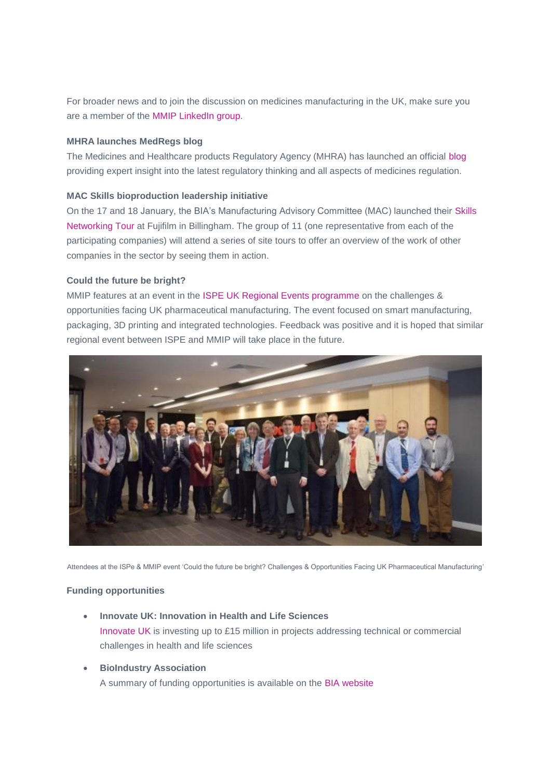For broader news and to join the discussion on medicines manufacturing in the UK, make sure you are a member of the [MMIP LinkedIn group.](https://protect-eu.mimecast.com/s/ExNUBzLveUL?domain=dmtrk.net)

#### **MHRA launches MedRegs blog**

The Medicines and Healthcare products Regulatory Agency (MHRA) has launched an official [blog](https://protect-eu.mimecast.com/s/RYWCBMlqKS1?domain=dmtrk.net) providing expert insight into the latest regulatory thinking and all aspects of medicines regulation.

#### **MAC Skills bioproduction leadership initiative**

On the 17 and 18 January, the BIA's Manufacturing Advisory Committee (MAC) launched their [Skills](https://protect-eu.mimecast.com/s/vYeCBaQ4Jid?domain=dmtrk.net)  [Networking Tour](https://protect-eu.mimecast.com/s/vYeCBaQ4Jid?domain=dmtrk.net) at Fujifilm in Billingham. The group of 11 (one representative from each of the participating companies) will attend a series of site tours to offer an overview of the work of other companies in the sector by seeing them in action.

#### **Could the future be bright?**

MMIP features at an event in the [ISPE UK Regional Events programme](https://protect-eu.mimecast.com/s/nzoTB28ApuQ?domain=dmtrk.net) on the challenges & opportunities facing UK pharmaceutical manufacturing. The event focused on smart manufacturing, packaging, 3D printing and integrated technologies. Feedback was positive and it is hoped that similar regional event between ISPE and MMIP will take place in the future.



Attendees at the ISPe & MMIP event 'Could the future be bright? Challenges & Opportunities Facing UK Pharmaceutical Manufacturing'

## **Funding opportunities**

- **Innovate UK: Innovation in Health and Life Sciences** [Innovate UK](https://protect-eu.mimecast.com/s/1ErcB4a0vtd?domain=dmtrk.net) is investing up to £15 million in projects addressing technical or commercial challenges in health and life sciences
- **BioIndustry Association**

A summary of funding opportunities is available on the [BIA website](https://protect-eu.mimecast.com/s/V0zuBEwOviJ?domain=dmtrk.net)